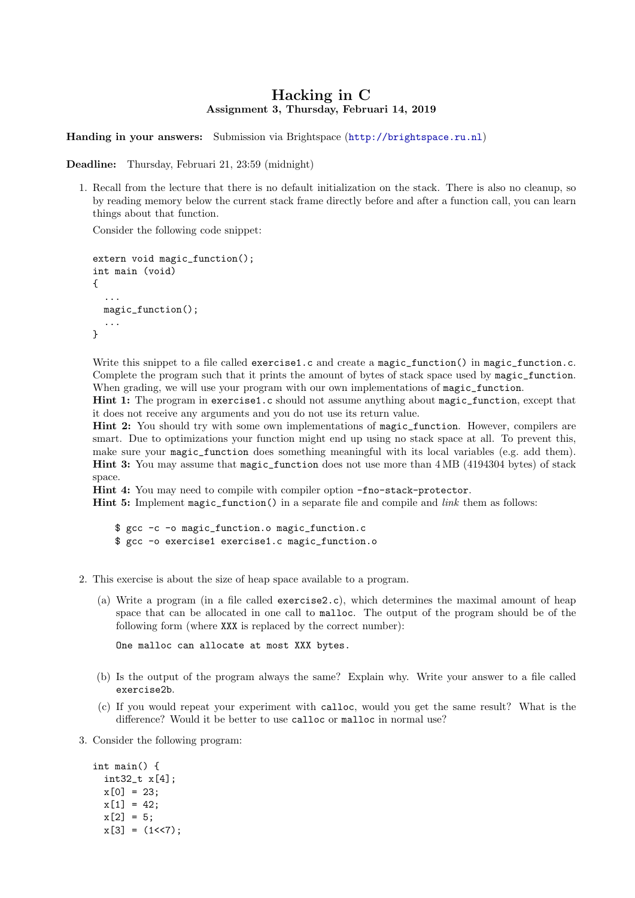## Hacking in C Assignment 3, Thursday, Februari 14, 2019

Handing in your answers: Submission via Brightspace (<http://brightspace.ru.nl>)

Deadline: Thursday, Februari 21, 23:59 (midnight)

1. Recall from the lecture that there is no default initialization on the stack. There is also no cleanup, so by reading memory below the current stack frame directly before and after a function call, you can learn things about that function.

Consider the following code snippet:

```
extern void magic_function();
int main (void)
{
  ...
  magic_function();
  ...
}
```
Write this snippet to a file called exercise1.c and create a magic function() in magic function.c. Complete the program such that it prints the amount of bytes of stack space used by magic\_function. When grading, we will use your program with our own implementations of magic\_function.

Hint 1: The program in exercise1.c should not assume anything about magic\_function, except that it does not receive any arguments and you do not use its return value.

Hint 2: You should try with some own implementations of magic\_function. However, compilers are smart. Due to optimizations your function might end up using no stack space at all. To prevent this, make sure your magic\_function does something meaningful with its local variables (e.g. add them). Hint 3: You may assume that magic\_function does not use more than 4 MB (4194304 bytes) of stack space.

Hint 4: You may need to compile with compiler option -fno-stack-protector.

**Hint 5:** Implement magic\_function() in a separate file and compile and *link* them as follows:

\$ gcc -c -o magic\_function.o magic\_function.c \$ gcc -o exercise1 exercise1.c magic\_function.o

- 2. This exercise is about the size of heap space available to a program.
	- (a) Write a program (in a file called exercise2.c), which determines the maximal amount of heap space that can be allocated in one call to malloc. The output of the program should be of the following form (where XXX is replaced by the correct number):

One malloc can allocate at most XXX bytes.

- (b) Is the output of the program always the same? Explain why. Write your answer to a file called exercise2b.
- (c) If you would repeat your experiment with calloc, would you get the same result? What is the difference? Would it be better to use calloc or malloc in normal use?
- 3. Consider the following program:

```
int main() {
 int32_t x[4];
 x[0] = 23;x[1] = 42;
 x[2] = 5;
 x[3] = (1 \le 7);
```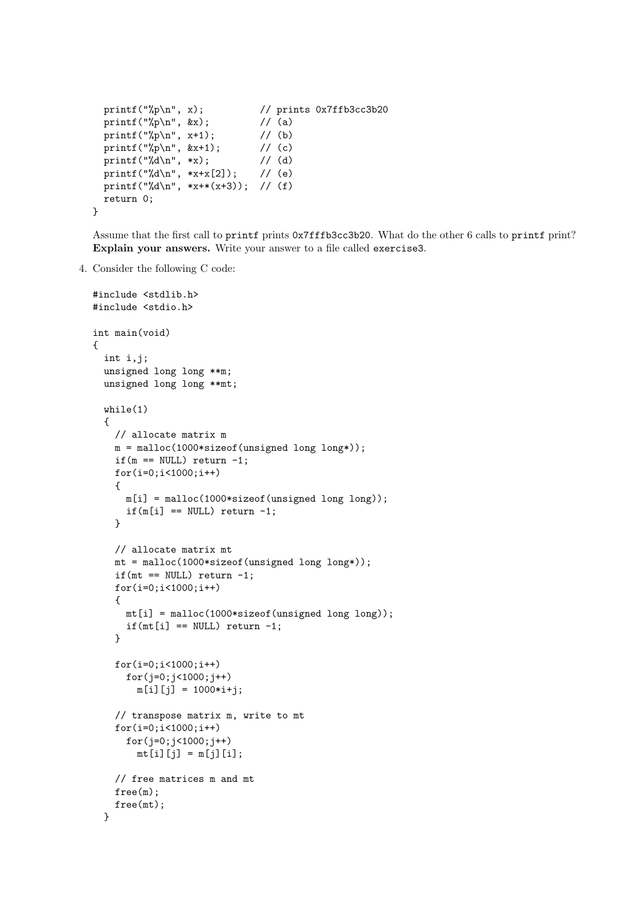```
printf("%p\n", x); // prints 0x7ffb3cc3b20
  printf("%p\n", kx); // (a)
  printf("%p\n", x+1); // (b)<br>printf("%p\n", &x+1); // (c)
  printf("%p\n", &x+1); // (c)<br>printf("%d\n", *x); // (d)
  printf("%d\n", *x);
  printf("%d\n", *x+x[2]); // (e)
  printf("%d\n", *x+*(x+3)); // (f)
  return 0;
}
```
Assume that the first call to printf prints 0x7fffb3cc3b20. What do the other 6 calls to printf print? Explain your answers. Write your answer to a file called exercise3.

4. Consider the following C code:

```
#include <stdlib.h>
#include <stdio.h>
int main(void)
{
  int i,j;
  unsigned long long **m;
  unsigned long long **mt;
  while(1)
  {
    // allocate matrix m
    m = malloc(1000*sizeof(unsigned long long*));
    if(m == NULL) return -1;for(i=0;i<1000;i++)
    \overline{f}m[i] = malloc(1000*sizeof(unsigned long long));if(m[i] == NULL) return -1;}
    // allocate matrix mt
    mt = malloc(1000*sizeof(unsigned long long*));
    if(mt == NULL) return -1;
    for(i=0; i<1000; i++){
      mt[i] = malloc(1000*sizeof(unsigned long long));if(mt[i] == NULL) return -1;}
    for(i=0;i<1000;i++)
      for(j=0; j<1000; j++)m[i][j] = 1000* i+j;// transpose matrix m, write to mt
    for(i=0;i<1000;i++)
      for(j=0; j<1000; j++)mt[i][j] = m[j][i];// free matrices m and mt
    free(m);
    free(mt);
  }
```